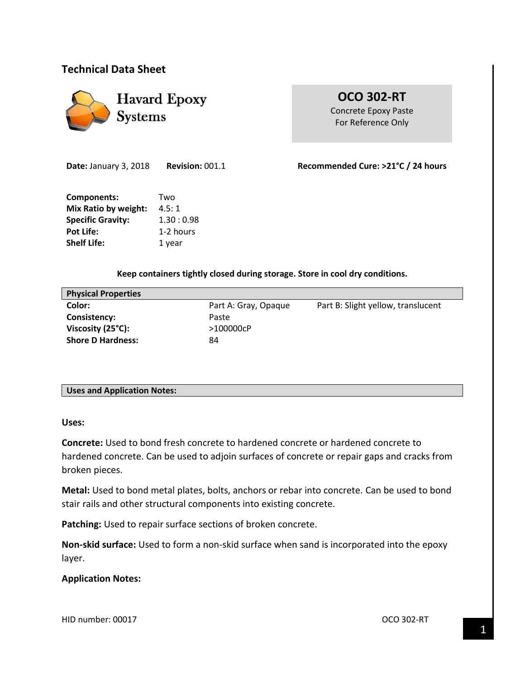# **Technical Data Sheet**



**OCO 302-RT** Concrete Epoxy Paste For Reference Only

**Components:** Two **Mix Ratio by weight:** 4.5: 1 **Specific Gravity:** 1.30 : 0.98 Pot Life: 1-2 hours **Shelf Life:** 1 year

**Date:** January 3, 2018 **Revision:** 001.1 **Recommended Cure: >21°C / 24 hours** 

## **Keep containers tightly closed during storage. Store in cool dry conditions.**

| <b>Physical Properties</b> |                      |                                    |
|----------------------------|----------------------|------------------------------------|
| Color:                     | Part A: Gray, Opaque | Part B: Slight yellow, translucent |
| Consistency:               | Paste                |                                    |
| Viscosity (25°C):          | >100000cP            |                                    |
| <b>Shore D Hardness:</b>   | 84                   |                                    |
|                            |                      |                                    |

## **Uses and Application Notes:**

**Uses:**

**Concrete:** Used to bond fresh concrete to hardened concrete or hardened concrete to hardened concrete. Can be used to adjoin surfaces of concrete or repair gaps and cracks from broken pieces.

**Metal:** Used to bond metal plates, bolts, anchors or rebar into concrete. Can be used to bond stair rails and other structural components into existing concrete.

Patching: Used to repair surface sections of broken concrete.

**Non-skid surface:** Used to form a non-skid surface when sand is incorporated into the epoxy layer.

## **Application Notes:**